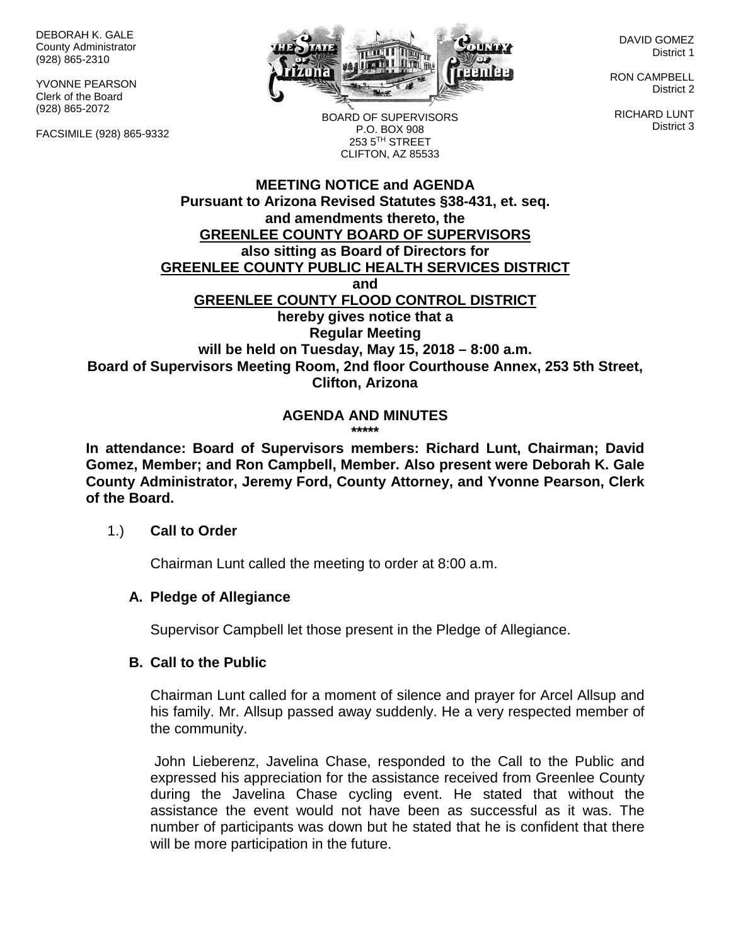DEBORAH K. GALE County Administrator (928) 865-2310

YVONNE PEARSON Clerk of the Board (928) 865-2072

FACSIMILE (928) 865-9332



DAVID GOMEZ District 1

RON CAMPBELL District 2

RICHARD LUNT District 3

BOARD OF SUPERVISORS P.O. BOX 908 253 5TH STREET CLIFTON, AZ 85533

#### **MEETING NOTICE and AGENDA Pursuant to Arizona Revised Statutes §38-431, et. seq. and amendments thereto, the GREENLEE COUNTY BOARD OF SUPERVISORS also sitting as Board of Directors for GREENLEE COUNTY PUBLIC HEALTH SERVICES DISTRICT and GREENLEE COUNTY FLOOD CONTROL DISTRICT hereby gives notice that a Regular Meeting will be held on Tuesday, May 15, 2018 – 8:00 a.m. Board of Supervisors Meeting Room, 2nd floor Courthouse Annex, 253 5th Street, Clifton, Arizona**

#### **AGENDA AND MINUTES \*\*\*\*\***

**In attendance: Board of Supervisors members: Richard Lunt, Chairman; David Gomez, Member; and Ron Campbell, Member. Also present were Deborah K. Gale County Administrator, Jeremy Ford, County Attorney, and Yvonne Pearson, Clerk of the Board.**

#### 1.) **Call to Order**

Chairman Lunt called the meeting to order at 8:00 a.m.

### **A. Pledge of Allegiance**

Supervisor Campbell let those present in the Pledge of Allegiance.

### **B. Call to the Public**

Chairman Lunt called for a moment of silence and prayer for Arcel Allsup and his family. Mr. Allsup passed away suddenly. He a very respected member of the community.

John Lieberenz, Javelina Chase, responded to the Call to the Public and expressed his appreciation for the assistance received from Greenlee County during the Javelina Chase cycling event. He stated that without the assistance the event would not have been as successful as it was. The number of participants was down but he stated that he is confident that there will be more participation in the future.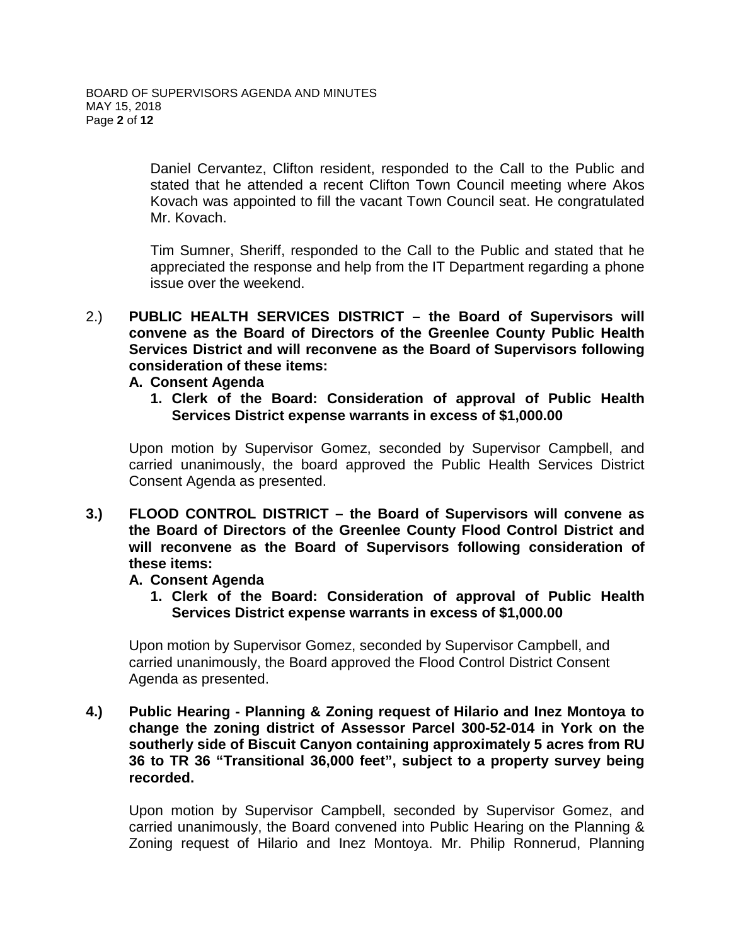Daniel Cervantez, Clifton resident, responded to the Call to the Public and stated that he attended a recent Clifton Town Council meeting where Akos Kovach was appointed to fill the vacant Town Council seat. He congratulated Mr. Kovach.

Tim Sumner, Sheriff, responded to the Call to the Public and stated that he appreciated the response and help from the IT Department regarding a phone issue over the weekend.

2.) **PUBLIC HEALTH SERVICES DISTRICT – the Board of Supervisors will convene as the Board of Directors of the Greenlee County Public Health Services District and will reconvene as the Board of Supervisors following consideration of these items:**

#### **A. Consent Agenda**

**1. Clerk of the Board: Consideration of approval of Public Health Services District expense warrants in excess of \$1,000.00**

Upon motion by Supervisor Gomez, seconded by Supervisor Campbell, and carried unanimously, the board approved the Public Health Services District Consent Agenda as presented.

**3.) FLOOD CONTROL DISTRICT – the Board of Supervisors will convene as the Board of Directors of the Greenlee County Flood Control District and will reconvene as the Board of Supervisors following consideration of these items:**

#### **A. Consent Agenda**

**1. Clerk of the Board: Consideration of approval of Public Health Services District expense warrants in excess of \$1,000.00**

Upon motion by Supervisor Gomez, seconded by Supervisor Campbell, and carried unanimously, the Board approved the Flood Control District Consent Agenda as presented.

**4.) Public Hearing - Planning & Zoning request of Hilario and Inez Montoya to change the zoning district of Assessor Parcel 300-52-014 in York on the southerly side of Biscuit Canyon containing approximately 5 acres from RU 36 to TR 36 "Transitional 36,000 feet", subject to a property survey being recorded.**

Upon motion by Supervisor Campbell, seconded by Supervisor Gomez, and carried unanimously, the Board convened into Public Hearing on the Planning & Zoning request of Hilario and Inez Montoya. Mr. Philip Ronnerud, Planning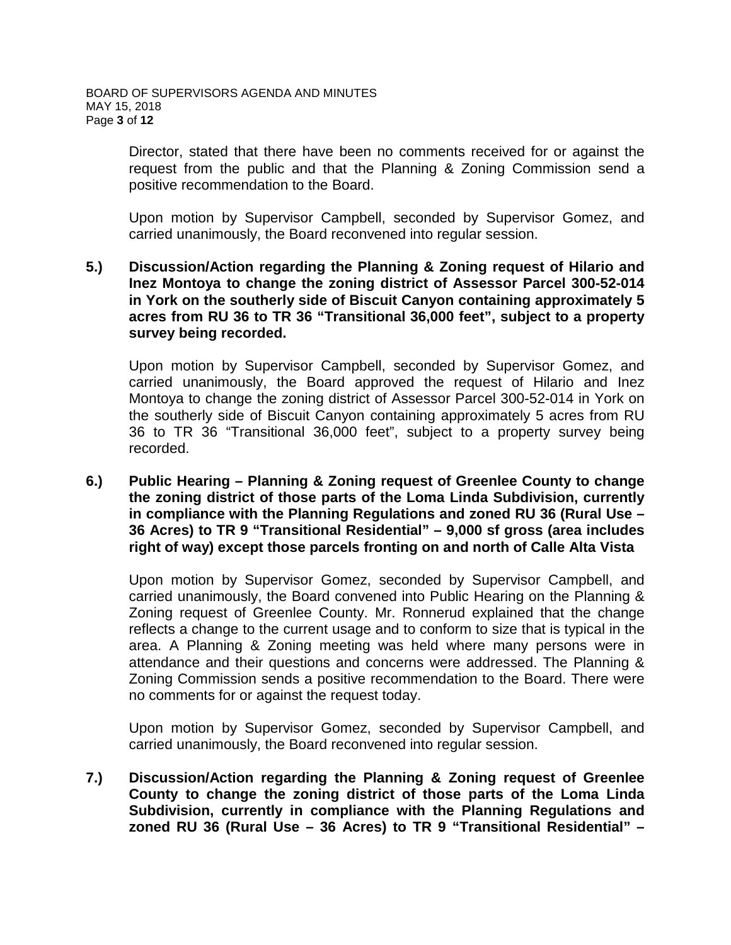Director, stated that there have been no comments received for or against the request from the public and that the Planning & Zoning Commission send a positive recommendation to the Board.

Upon motion by Supervisor Campbell, seconded by Supervisor Gomez, and carried unanimously, the Board reconvened into regular session.

#### **5.) Discussion/Action regarding the Planning & Zoning request of Hilario and Inez Montoya to change the zoning district of Assessor Parcel 300-52-014 in York on the southerly side of Biscuit Canyon containing approximately 5 acres from RU 36 to TR 36 "Transitional 36,000 feet", subject to a property survey being recorded.**

Upon motion by Supervisor Campbell, seconded by Supervisor Gomez, and carried unanimously, the Board approved the request of Hilario and Inez Montoya to change the zoning district of Assessor Parcel 300-52-014 in York on the southerly side of Biscuit Canyon containing approximately 5 acres from RU 36 to TR 36 "Transitional 36,000 feet", subject to a property survey being recorded.

**6.) Public Hearing – Planning & Zoning request of Greenlee County to change the zoning district of those parts of the Loma Linda Subdivision, currently in compliance with the Planning Regulations and zoned RU 36 (Rural Use – 36 Acres) to TR 9 "Transitional Residential" – 9,000 sf gross (area includes right of way) except those parcels fronting on and north of Calle Alta Vista**

Upon motion by Supervisor Gomez, seconded by Supervisor Campbell, and carried unanimously, the Board convened into Public Hearing on the Planning & Zoning request of Greenlee County. Mr. Ronnerud explained that the change reflects a change to the current usage and to conform to size that is typical in the area. A Planning & Zoning meeting was held where many persons were in attendance and their questions and concerns were addressed. The Planning & Zoning Commission sends a positive recommendation to the Board. There were no comments for or against the request today.

Upon motion by Supervisor Gomez, seconded by Supervisor Campbell, and carried unanimously, the Board reconvened into regular session.

**7.) Discussion/Action regarding the Planning & Zoning request of Greenlee County to change the zoning district of those parts of the Loma Linda Subdivision, currently in compliance with the Planning Regulations and zoned RU 36 (Rural Use – 36 Acres) to TR 9 "Transitional Residential" –**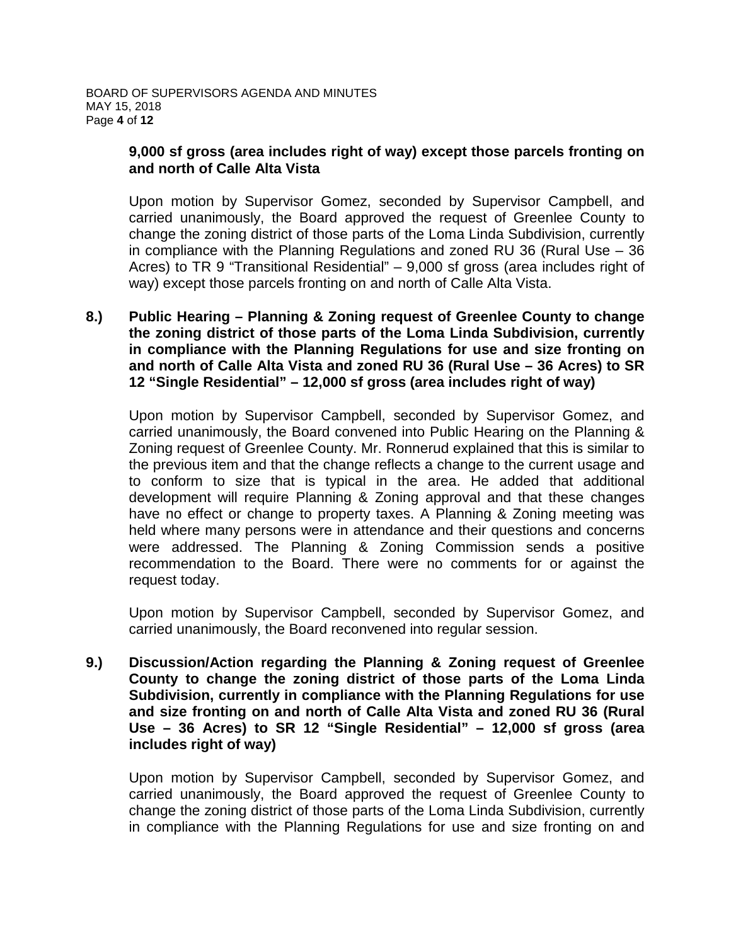### **9,000 sf gross (area includes right of way) except those parcels fronting on and north of Calle Alta Vista**

Upon motion by Supervisor Gomez, seconded by Supervisor Campbell, and carried unanimously, the Board approved the request of Greenlee County to change the zoning district of those parts of the Loma Linda Subdivision, currently in compliance with the Planning Regulations and zoned RU 36 (Rural Use – 36 Acres) to TR 9 "Transitional Residential" – 9,000 sf gross (area includes right of way) except those parcels fronting on and north of Calle Alta Vista.

**8.) Public Hearing – Planning & Zoning request of Greenlee County to change the zoning district of those parts of the Loma Linda Subdivision, currently in compliance with the Planning Regulations for use and size fronting on and north of Calle Alta Vista and zoned RU 36 (Rural Use – 36 Acres) to SR 12 "Single Residential" – 12,000 sf gross (area includes right of way)**

Upon motion by Supervisor Campbell, seconded by Supervisor Gomez, and carried unanimously, the Board convened into Public Hearing on the Planning & Zoning request of Greenlee County. Mr. Ronnerud explained that this is similar to the previous item and that the change reflects a change to the current usage and to conform to size that is typical in the area. He added that additional development will require Planning & Zoning approval and that these changes have no effect or change to property taxes. A Planning & Zoning meeting was held where many persons were in attendance and their questions and concerns were addressed. The Planning & Zoning Commission sends a positive recommendation to the Board. There were no comments for or against the request today.

Upon motion by Supervisor Campbell, seconded by Supervisor Gomez, and carried unanimously, the Board reconvened into regular session.

**9.) Discussion/Action regarding the Planning & Zoning request of Greenlee County to change the zoning district of those parts of the Loma Linda Subdivision, currently in compliance with the Planning Regulations for use and size fronting on and north of Calle Alta Vista and zoned RU 36 (Rural Use – 36 Acres) to SR 12 "Single Residential" – 12,000 sf gross (area includes right of way)**

Upon motion by Supervisor Campbell, seconded by Supervisor Gomez, and carried unanimously, the Board approved the request of Greenlee County to change the zoning district of those parts of the Loma Linda Subdivision, currently in compliance with the Planning Regulations for use and size fronting on and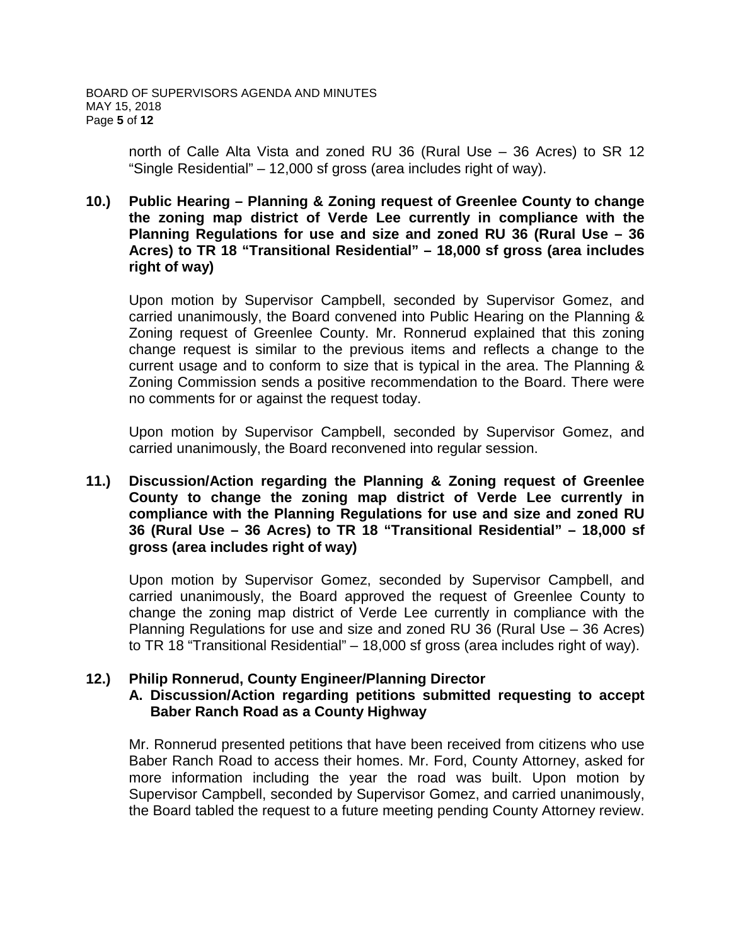north of Calle Alta Vista and zoned RU 36 (Rural Use – 36 Acres) to SR 12 "Single Residential" – 12,000 sf gross (area includes right of way).

### **10.) Public Hearing – Planning & Zoning request of Greenlee County to change the zoning map district of Verde Lee currently in compliance with the Planning Regulations for use and size and zoned RU 36 (Rural Use – 36 Acres) to TR 18 "Transitional Residential" – 18,000 sf gross (area includes right of way)**

Upon motion by Supervisor Campbell, seconded by Supervisor Gomez, and carried unanimously, the Board convened into Public Hearing on the Planning & Zoning request of Greenlee County. Mr. Ronnerud explained that this zoning change request is similar to the previous items and reflects a change to the current usage and to conform to size that is typical in the area. The Planning & Zoning Commission sends a positive recommendation to the Board. There were no comments for or against the request today.

Upon motion by Supervisor Campbell, seconded by Supervisor Gomez, and carried unanimously, the Board reconvened into regular session.

**11.) Discussion/Action regarding the Planning & Zoning request of Greenlee County to change the zoning map district of Verde Lee currently in compliance with the Planning Regulations for use and size and zoned RU 36 (Rural Use – 36 Acres) to TR 18 "Transitional Residential" – 18,000 sf gross (area includes right of way)**

Upon motion by Supervisor Gomez, seconded by Supervisor Campbell, and carried unanimously, the Board approved the request of Greenlee County to change the zoning map district of Verde Lee currently in compliance with the Planning Regulations for use and size and zoned RU 36 (Rural Use – 36 Acres) to TR 18 "Transitional Residential" – 18,000 sf gross (area includes right of way).

### **12.) Philip Ronnerud, County Engineer/Planning Director**

#### **A. Discussion/Action regarding petitions submitted requesting to accept Baber Ranch Road as a County Highway**

Mr. Ronnerud presented petitions that have been received from citizens who use Baber Ranch Road to access their homes. Mr. Ford, County Attorney, asked for more information including the year the road was built. Upon motion by Supervisor Campbell, seconded by Supervisor Gomez, and carried unanimously, the Board tabled the request to a future meeting pending County Attorney review.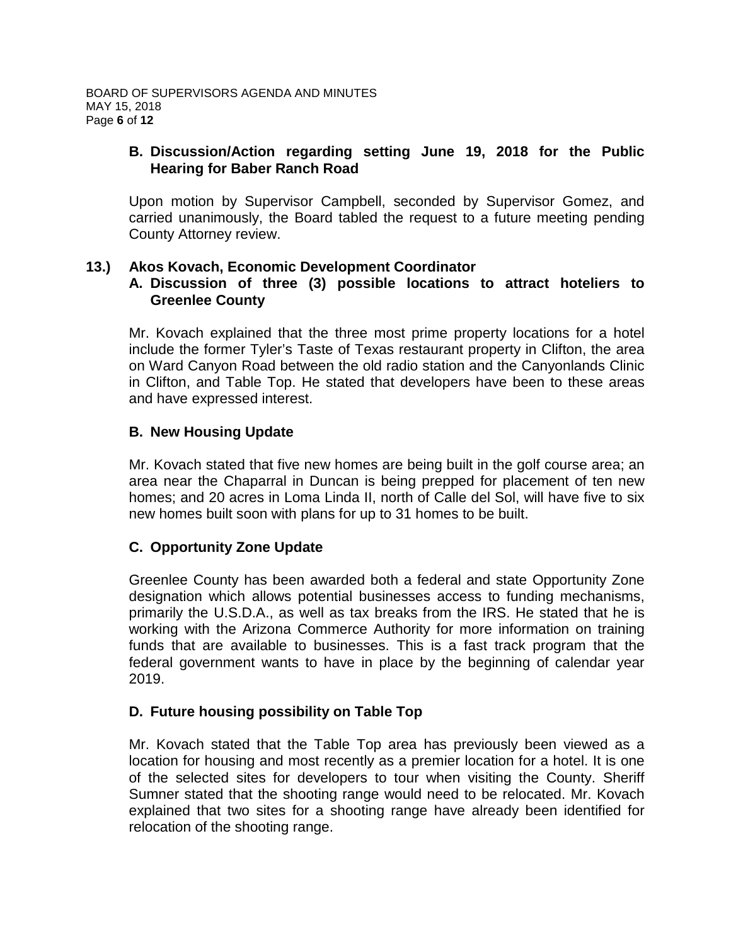# **B. Discussion/Action regarding setting June 19, 2018 for the Public Hearing for Baber Ranch Road**

Upon motion by Supervisor Campbell, seconded by Supervisor Gomez, and carried unanimously, the Board tabled the request to a future meeting pending County Attorney review.

# **13.) Akos Kovach, Economic Development Coordinator**

### **A. Discussion of three (3) possible locations to attract hoteliers to Greenlee County**

Mr. Kovach explained that the three most prime property locations for a hotel include the former Tyler's Taste of Texas restaurant property in Clifton, the area on Ward Canyon Road between the old radio station and the Canyonlands Clinic in Clifton, and Table Top. He stated that developers have been to these areas and have expressed interest.

# **B. New Housing Update**

Mr. Kovach stated that five new homes are being built in the golf course area; an area near the Chaparral in Duncan is being prepped for placement of ten new homes; and 20 acres in Loma Linda II, north of Calle del Sol, will have five to six new homes built soon with plans for up to 31 homes to be built.

# **C. Opportunity Zone Update**

Greenlee County has been awarded both a federal and state Opportunity Zone designation which allows potential businesses access to funding mechanisms, primarily the U.S.D.A., as well as tax breaks from the IRS. He stated that he is working with the Arizona Commerce Authority for more information on training funds that are available to businesses. This is a fast track program that the federal government wants to have in place by the beginning of calendar year 2019.

# **D. Future housing possibility on Table Top**

Mr. Kovach stated that the Table Top area has previously been viewed as a location for housing and most recently as a premier location for a hotel. It is one of the selected sites for developers to tour when visiting the County. Sheriff Sumner stated that the shooting range would need to be relocated. Mr. Kovach explained that two sites for a shooting range have already been identified for relocation of the shooting range.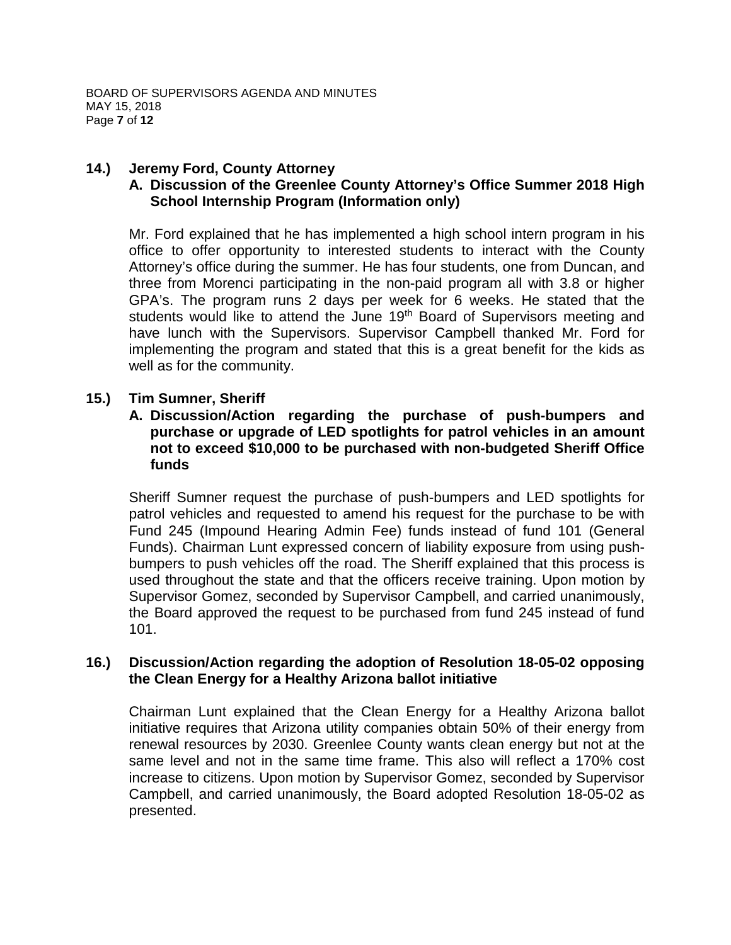# **14.) Jeremy Ford, County Attorney**

# **A. Discussion of the Greenlee County Attorney's Office Summer 2018 High School Internship Program (Information only)**

Mr. Ford explained that he has implemented a high school intern program in his office to offer opportunity to interested students to interact with the County Attorney's office during the summer. He has four students, one from Duncan, and three from Morenci participating in the non-paid program all with 3.8 or higher GPA's. The program runs 2 days per week for 6 weeks. He stated that the students would like to attend the June 19<sup>th</sup> Board of Supervisors meeting and have lunch with the Supervisors. Supervisor Campbell thanked Mr. Ford for implementing the program and stated that this is a great benefit for the kids as well as for the community.

# **15.) Tim Sumner, Sheriff**

**A. Discussion/Action regarding the purchase of push-bumpers and purchase or upgrade of LED spotlights for patrol vehicles in an amount not to exceed \$10,000 to be purchased with non-budgeted Sheriff Office funds**

Sheriff Sumner request the purchase of push-bumpers and LED spotlights for patrol vehicles and requested to amend his request for the purchase to be with Fund 245 (Impound Hearing Admin Fee) funds instead of fund 101 (General Funds). Chairman Lunt expressed concern of liability exposure from using pushbumpers to push vehicles off the road. The Sheriff explained that this process is used throughout the state and that the officers receive training. Upon motion by Supervisor Gomez, seconded by Supervisor Campbell, and carried unanimously, the Board approved the request to be purchased from fund 245 instead of fund 101.

#### **16.) Discussion/Action regarding the adoption of Resolution 18-05-02 opposing the Clean Energy for a Healthy Arizona ballot initiative**

Chairman Lunt explained that the Clean Energy for a Healthy Arizona ballot initiative requires that Arizona utility companies obtain 50% of their energy from renewal resources by 2030. Greenlee County wants clean energy but not at the same level and not in the same time frame. This also will reflect a 170% cost increase to citizens. Upon motion by Supervisor Gomez, seconded by Supervisor Campbell, and carried unanimously, the Board adopted Resolution 18-05-02 as presented.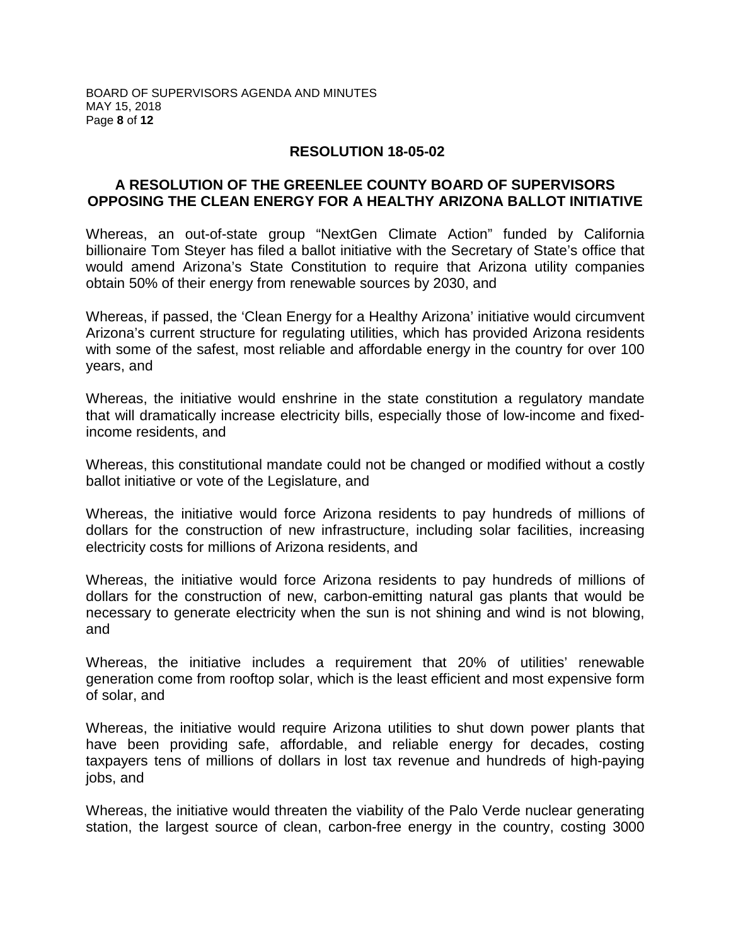#### **RESOLUTION 18-05-02**

#### **A RESOLUTION OF THE GREENLEE COUNTY BOARD OF SUPERVISORS OPPOSING THE CLEAN ENERGY FOR A HEALTHY ARIZONA BALLOT INITIATIVE**

Whereas, an out-of-state group "NextGen Climate Action" funded by California billionaire Tom Steyer has filed a ballot initiative with the Secretary of State's office that would amend Arizona's State Constitution to require that Arizona utility companies obtain 50% of their energy from renewable sources by 2030, and

Whereas, if passed, the 'Clean Energy for a Healthy Arizona' initiative would circumvent Arizona's current structure for regulating utilities, which has provided Arizona residents with some of the safest, most reliable and affordable energy in the country for over 100 years, and

Whereas, the initiative would enshrine in the state constitution a regulatory mandate that will dramatically increase electricity bills, especially those of low-income and fixedincome residents, and

Whereas, this constitutional mandate could not be changed or modified without a costly ballot initiative or vote of the Legislature, and

Whereas, the initiative would force Arizona residents to pay hundreds of millions of dollars for the construction of new infrastructure, including solar facilities, increasing electricity costs for millions of Arizona residents, and

Whereas, the initiative would force Arizona residents to pay hundreds of millions of dollars for the construction of new, carbon-emitting natural gas plants that would be necessary to generate electricity when the sun is not shining and wind is not blowing, and

Whereas, the initiative includes a requirement that 20% of utilities' renewable generation come from rooftop solar, which is the least efficient and most expensive form of solar, and

Whereas, the initiative would require Arizona utilities to shut down power plants that have been providing safe, affordable, and reliable energy for decades, costing taxpayers tens of millions of dollars in lost tax revenue and hundreds of high-paying jobs, and

Whereas, the initiative would threaten the viability of the Palo Verde nuclear generating station, the largest source of clean, carbon-free energy in the country, costing 3000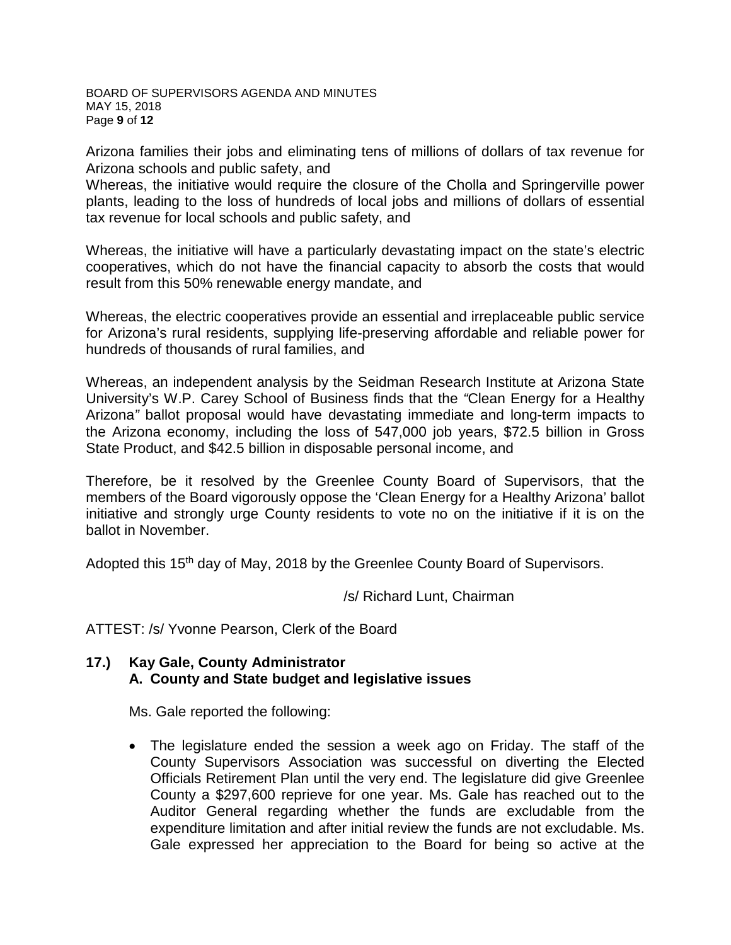BOARD OF SUPERVISORS AGENDA AND MINUTES MAY 15, 2018 Page **9** of **12**

Arizona families their jobs and eliminating tens of millions of dollars of tax revenue for Arizona schools and public safety, and

Whereas, the initiative would require the closure of the Cholla and Springerville power plants, leading to the loss of hundreds of local jobs and millions of dollars of essential tax revenue for local schools and public safety, and

Whereas, the initiative will have a particularly devastating impact on the state's electric cooperatives, which do not have the financial capacity to absorb the costs that would result from this 50% renewable energy mandate, and

Whereas, the electric cooperatives provide an essential and irreplaceable public service for Arizona's rural residents, supplying life-preserving affordable and reliable power for hundreds of thousands of rural families, and

Whereas, an independent analysis by the Seidman Research Institute at Arizona State University's W.P. Carey School of Business finds that the *"*Clean Energy for a Healthy Arizona*"* ballot proposal would have devastating immediate and long-term impacts to the Arizona economy, including the loss of 547,000 job years, \$72.5 billion in Gross State Product, and \$42.5 billion in disposable personal income, and

Therefore, be it resolved by the Greenlee County Board of Supervisors, that the members of the Board vigorously oppose the 'Clean Energy for a Healthy Arizona' ballot initiative and strongly urge County residents to vote no on the initiative if it is on the ballot in November.

Adopted this 15<sup>th</sup> day of May, 2018 by the Greenlee County Board of Supervisors.

/s/ Richard Lunt, Chairman

ATTEST: /s/ Yvonne Pearson, Clerk of the Board

#### **17.) Kay Gale, County Administrator A. County and State budget and legislative issues**

Ms. Gale reported the following:

• The legislature ended the session a week ago on Friday. The staff of the County Supervisors Association was successful on diverting the Elected Officials Retirement Plan until the very end. The legislature did give Greenlee County a \$297,600 reprieve for one year. Ms. Gale has reached out to the Auditor General regarding whether the funds are excludable from the expenditure limitation and after initial review the funds are not excludable. Ms. Gale expressed her appreciation to the Board for being so active at the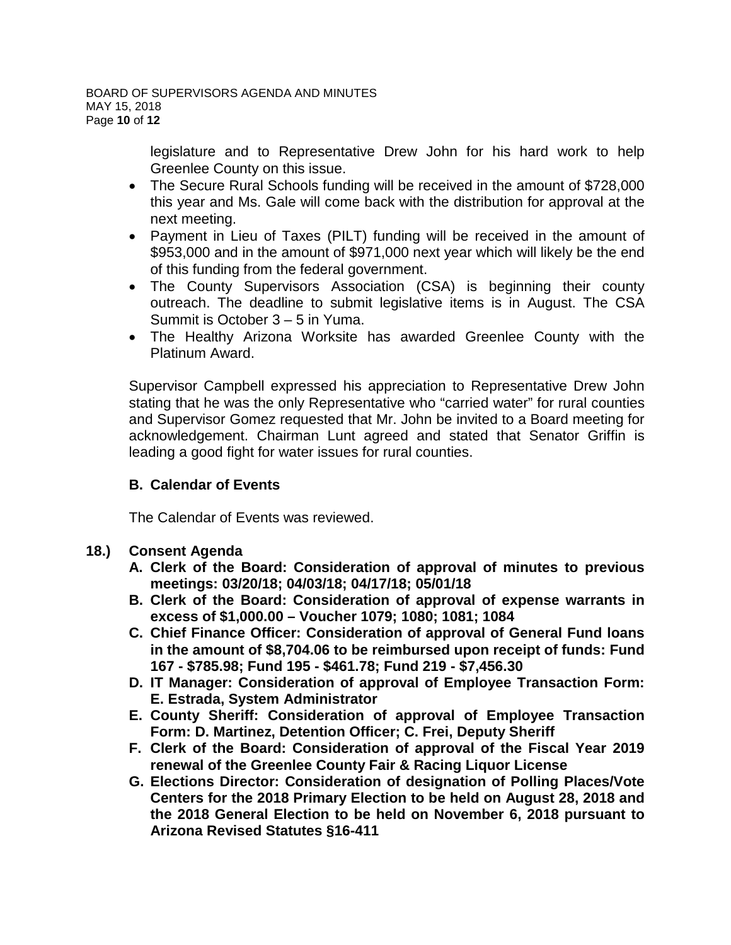legislature and to Representative Drew John for his hard work to help Greenlee County on this issue.

- The Secure Rural Schools funding will be received in the amount of \$728,000 this year and Ms. Gale will come back with the distribution for approval at the next meeting.
- Payment in Lieu of Taxes (PILT) funding will be received in the amount of \$953,000 and in the amount of \$971,000 next year which will likely be the end of this funding from the federal government.
- The County Supervisors Association (CSA) is beginning their county outreach. The deadline to submit legislative items is in August. The CSA Summit is October 3 – 5 in Yuma.
- The Healthy Arizona Worksite has awarded Greenlee County with the Platinum Award.

Supervisor Campbell expressed his appreciation to Representative Drew John stating that he was the only Representative who "carried water" for rural counties and Supervisor Gomez requested that Mr. John be invited to a Board meeting for acknowledgement. Chairman Lunt agreed and stated that Senator Griffin is leading a good fight for water issues for rural counties.

# **B. Calendar of Events**

The Calendar of Events was reviewed.

# **18.) Consent Agenda**

- **A. Clerk of the Board: Consideration of approval of minutes to previous meetings: 03/20/18; 04/03/18; 04/17/18; 05/01/18**
- **B. Clerk of the Board: Consideration of approval of expense warrants in excess of \$1,000.00 – Voucher 1079; 1080; 1081; 1084**
- **C. Chief Finance Officer: Consideration of approval of General Fund loans in the amount of \$8,704.06 to be reimbursed upon receipt of funds: Fund 167 - \$785.98; Fund 195 - \$461.78; Fund 219 - \$7,456.30**
- **D. IT Manager: Consideration of approval of Employee Transaction Form: E. Estrada, System Administrator**
- **E. County Sheriff: Consideration of approval of Employee Transaction Form: D. Martinez, Detention Officer; C. Frei, Deputy Sheriff**
- **F. Clerk of the Board: Consideration of approval of the Fiscal Year 2019 renewal of the Greenlee County Fair & Racing Liquor License**
- **G. Elections Director: Consideration of designation of Polling Places/Vote Centers for the 2018 Primary Election to be held on August 28, 2018 and the 2018 General Election to be held on November 6, 2018 pursuant to Arizona Revised Statutes §16-411**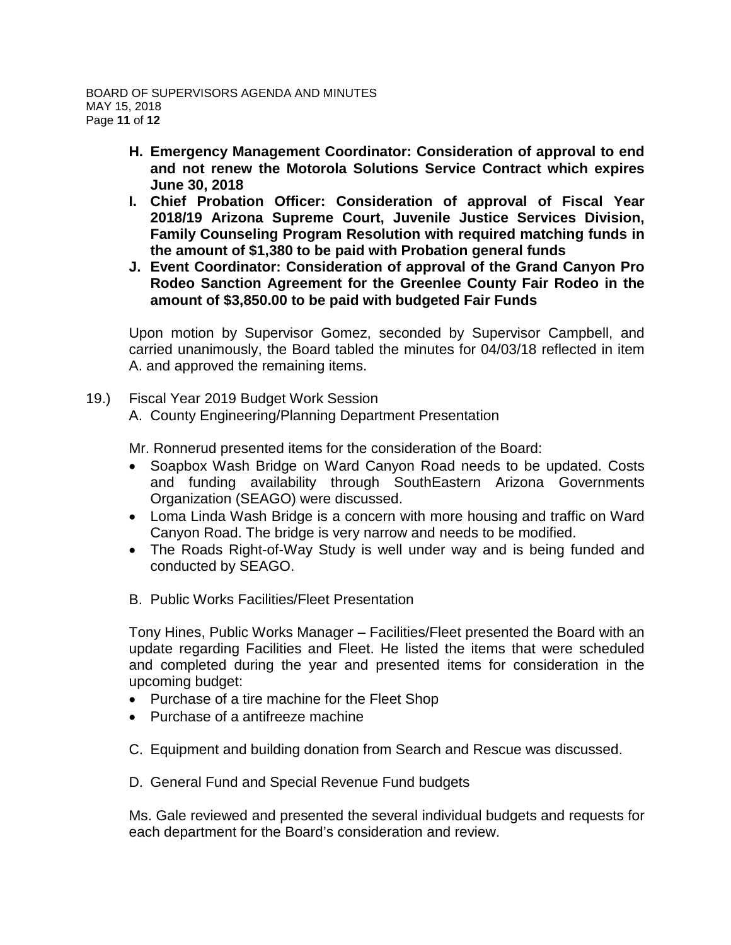- **H. Emergency Management Coordinator: Consideration of approval to end and not renew the Motorola Solutions Service Contract which expires June 30, 2018**
- **I. Chief Probation Officer: Consideration of approval of Fiscal Year 2018/19 Arizona Supreme Court, Juvenile Justice Services Division, Family Counseling Program Resolution with required matching funds in the amount of \$1,380 to be paid with Probation general funds**
- **J. Event Coordinator: Consideration of approval of the Grand Canyon Pro Rodeo Sanction Agreement for the Greenlee County Fair Rodeo in the amount of \$3,850.00 to be paid with budgeted Fair Funds**

Upon motion by Supervisor Gomez, seconded by Supervisor Campbell, and carried unanimously, the Board tabled the minutes for 04/03/18 reflected in item A. and approved the remaining items.

- 19.) Fiscal Year 2019 Budget Work Session
	- A. County Engineering/Planning Department Presentation

Mr. Ronnerud presented items for the consideration of the Board:

- Soapbox Wash Bridge on Ward Canyon Road needs to be updated. Costs and funding availability through SouthEastern Arizona Governments Organization (SEAGO) were discussed.
- Loma Linda Wash Bridge is a concern with more housing and traffic on Ward Canyon Road. The bridge is very narrow and needs to be modified.
- The Roads Right-of-Way Study is well under way and is being funded and conducted by SEAGO.
- B. Public Works Facilities/Fleet Presentation

Tony Hines, Public Works Manager – Facilities/Fleet presented the Board with an update regarding Facilities and Fleet. He listed the items that were scheduled and completed during the year and presented items for consideration in the upcoming budget:

- Purchase of a tire machine for the Fleet Shop
- Purchase of a antifreeze machine
- C. Equipment and building donation from Search and Rescue was discussed.
- D. General Fund and Special Revenue Fund budgets

Ms. Gale reviewed and presented the several individual budgets and requests for each department for the Board's consideration and review.